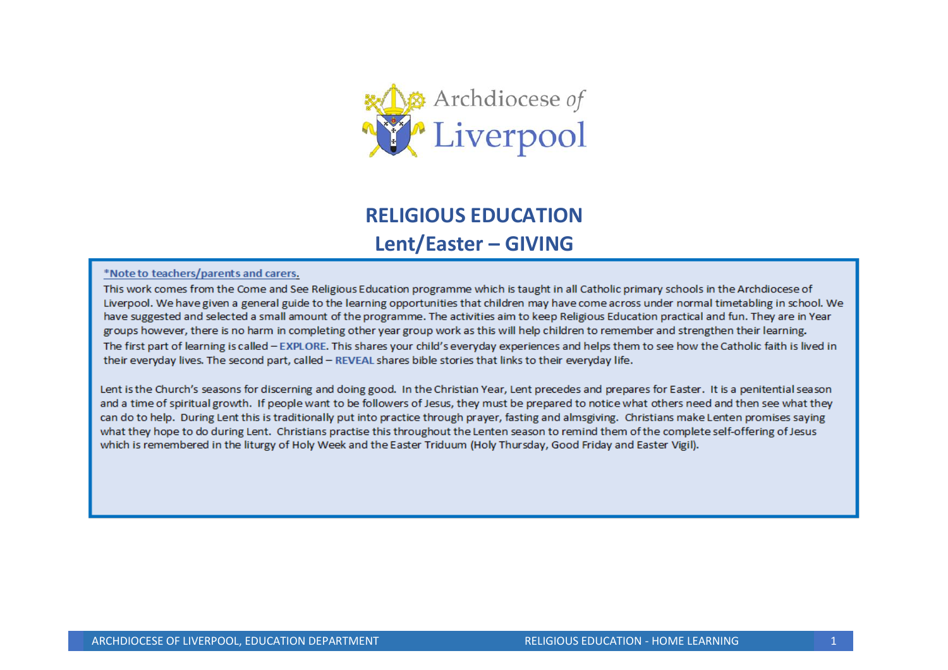

# **RELIGIOUS EDUCATION Lent/Easter – GIVING**

#### \*Note to teachers/parents and carers.

This work comes from the Come and See Religious Education programme which is taught in all Catholic primary schools in the Archdiocese of Liverpool. We have given a general guide to the learning opportunities that children may have come across under normal timetabling in school. We have suggested and selected a small amount of the programme. The activities aim to keep Religious Education practical and fun. They are in Year groups however, there is no harm in completing other year group work as this will help children to remember and strengthen their learning. The first part of learning is called - EXPLORE. This shares your child's everyday experiences and helps them to see how the Catholic faith is lived in their everyday lives. The second part, called - REVEAL shares bible stories that links to their everyday life.

Lent is the Church's seasons for discerning and doing good. In the Christian Year, Lent precedes and prepares for Easter. It is a penitential season and a time of spiritual growth. If people want to be followers of Jesus, they must be prepared to notice what others need and then see what they can do to help. During Lent this is traditionally put into practice through prayer, fasting and almsgiving. Christians make Lenten promises saying what they hope to do during Lent. Christians practise this throughout the Lenten season to remind them of the complete self-offering of Jesus which is remembered in the liturgy of Holy Week and the Easter Triduum (Holy Thursday, Good Friday and Easter Vigil).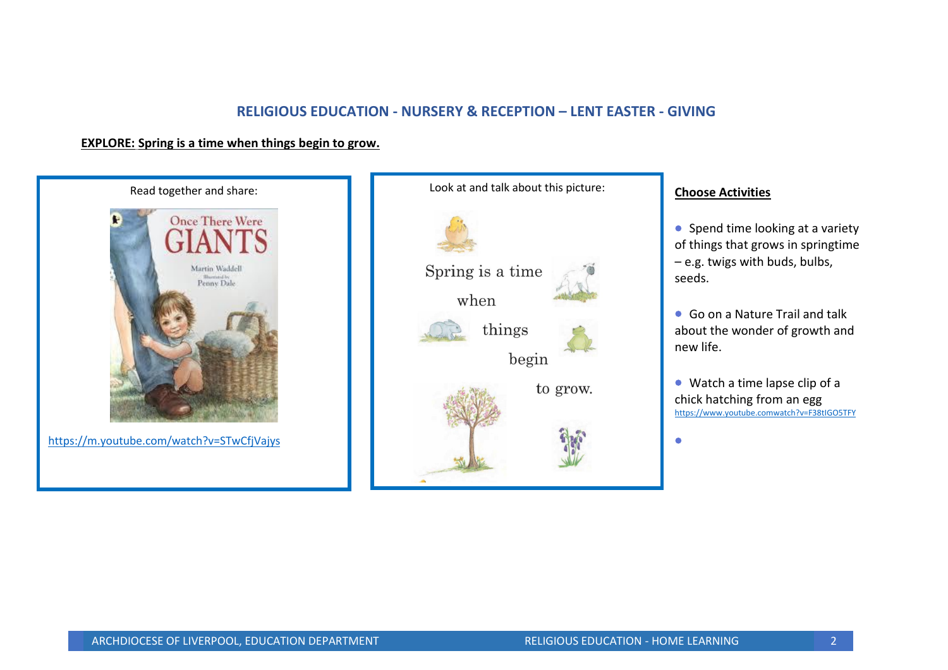## **RELIGIOUS EDUCATION - NURSERY & RECEPTION – LENT EASTER - GIVING**

## **EXPLORE: Spring is a time when things begin to grow.**



<https://m.youtube.com/watch?v=STwCfjVajys>



## **Choose Activities**

• Spend time looking at a variety of things that grows in springtime – e.g. twigs with buds, bulbs, seeds.

• Go on a Nature Trail and talk about the wonder of growth and new life.

• Watch a time lapse clip of a chick hatching from an egg [https://www.youtube.comwatch?v=F38tIGO5TFY](https://www.youtube.comwatch/?v=F38tIGO5TFY)

•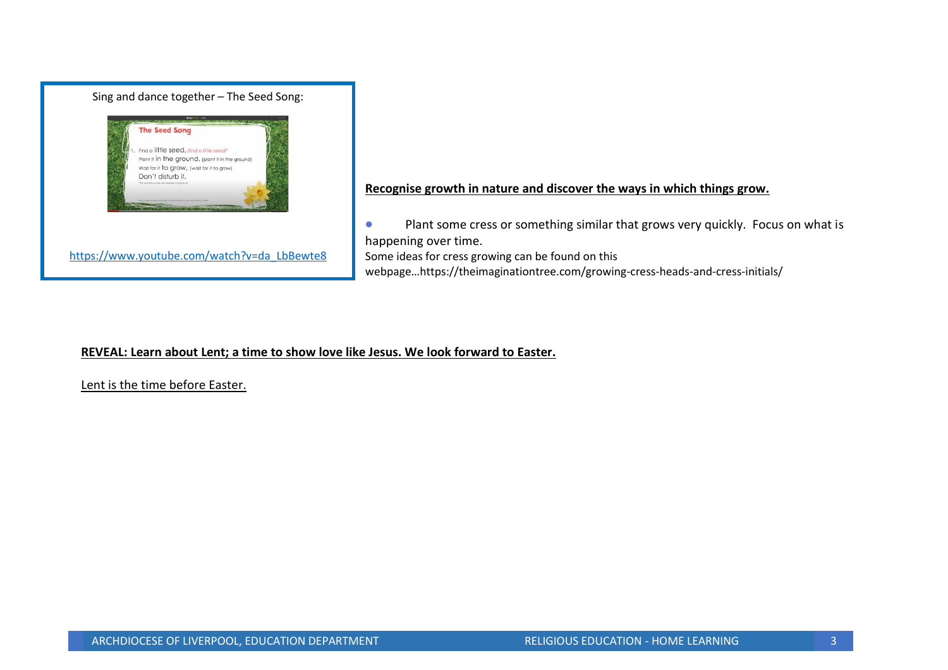

**Recognise growth in nature and discover the ways in which things grow.**

• Plant some cress or something similar that grows very quickly. Focus on what is happening over time. Some ideas for cress growing can be found on this webpage…https://theimaginationtree.com/growing-cress-heads-and-cress-initials/

## **REVEAL: Learn about Lent; a time to show love like Jesus. We look forward to Easter.**

Lent is the time before Easter.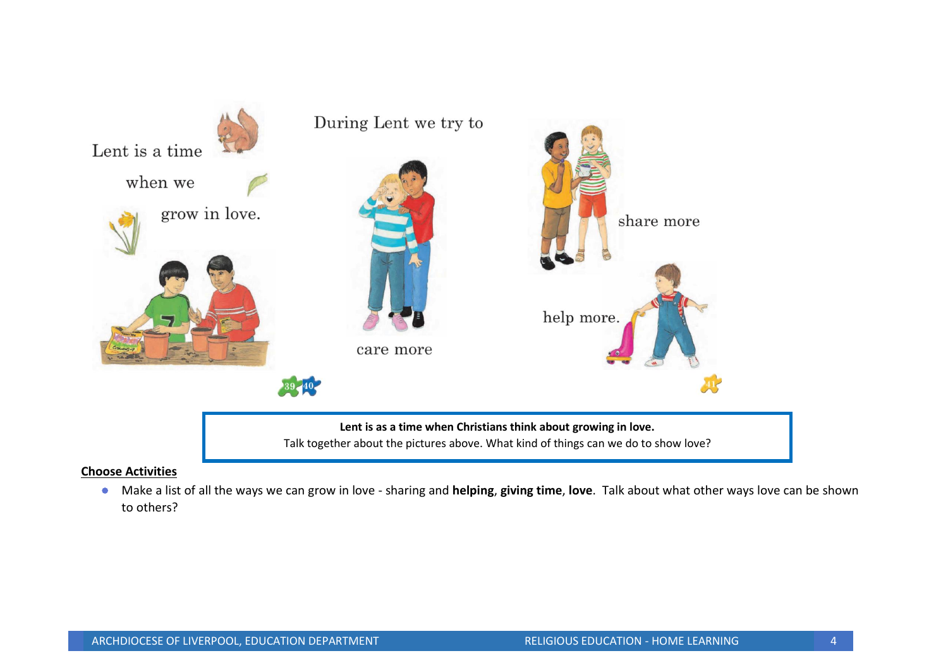

#### **Choose Activities**

• Make a list of all the ways we can grow in love - sharing and **helping**, **giving time**, **love**. Talk about what other ways love can be shown to others?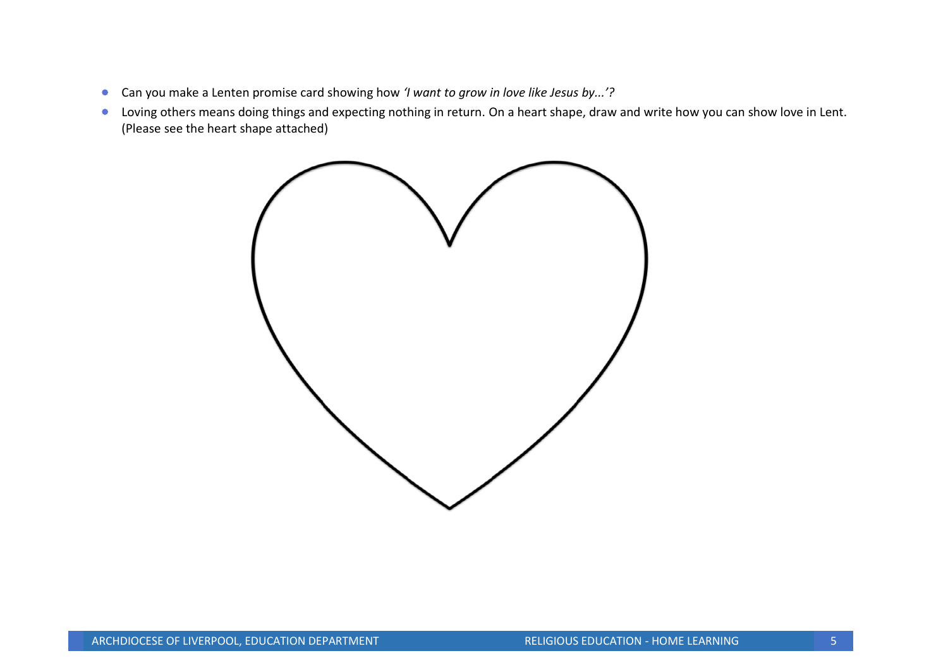- Can you make a Lenten promise card showing how *'I want to grow in love like Jesus by...'?*
- Loving others means doing things and expecting nothing in return. On a heart shape, draw and write how you can show love in Lent. (Please see the heart shape attached)

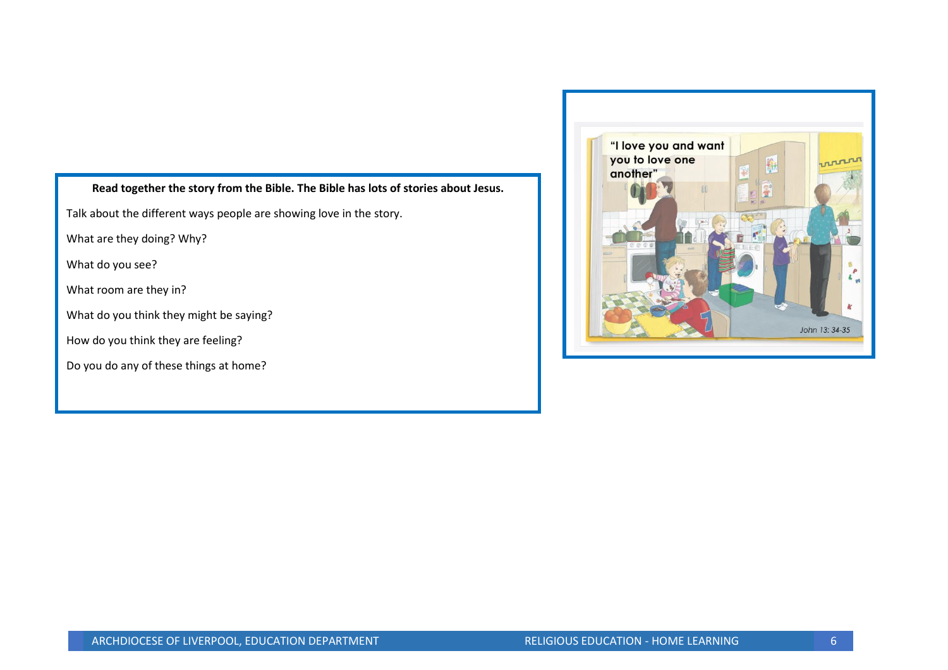## **Read together the story from the Bible. The Bible has lots of stories about Jesus.**

Talk about the different ways people are showing love in the story.

What are they doing? Why?

What do you see?

What room are they in?

What do you think they might be saying?

How do you think they are feeling?

Do you do any of these things at home?

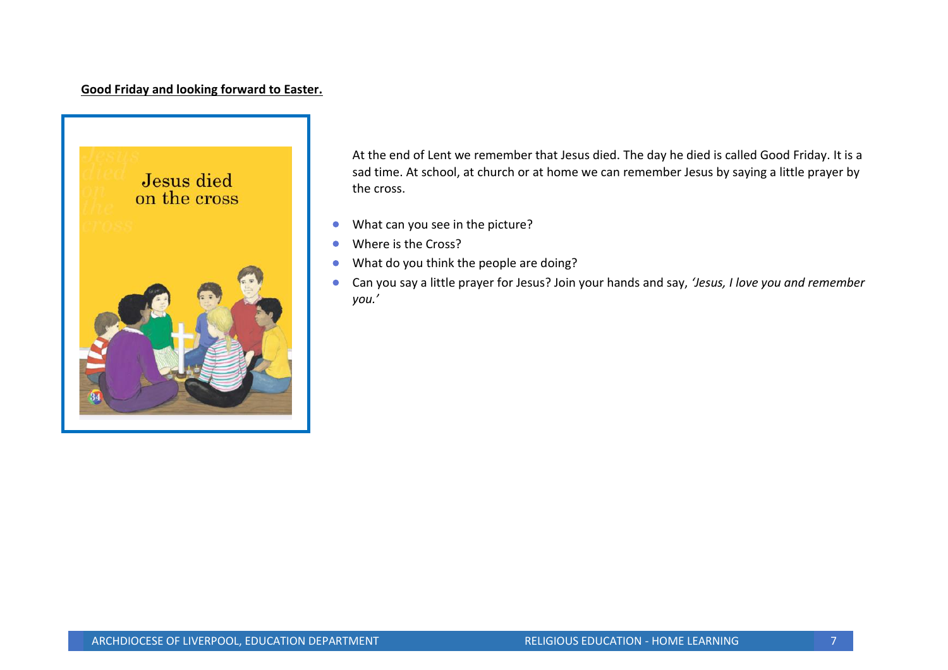## **Good Friday and looking forward to Easter.**



At the end of Lent we remember that Jesus died. The day he died is called Good Friday. It is a sad time. At school, at church or at home we can remember Jesus by saying a little prayer by the cross.

- What can you see in the picture?
- Where is the Cross?
- What do you think the people are doing?
- Can you say a little prayer for Jesus? Join your hands and say, *'Jesus, I love you and remember you.'*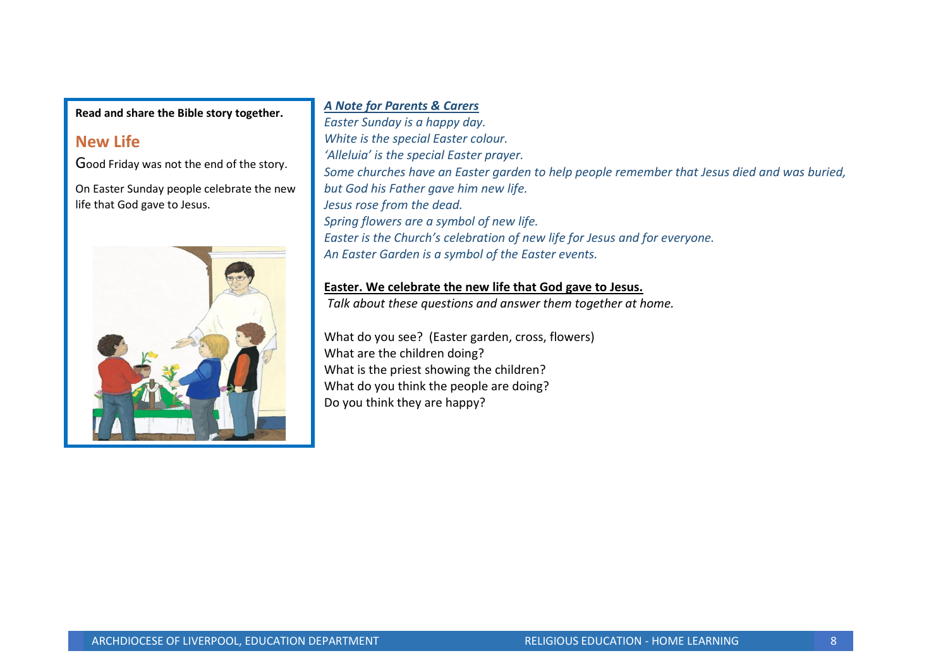**Read and share the Bible story together.**

## **New Life**

Good Friday was not the end of the story.

On Easter Sunday people celebrate the new life that God gave to Jesus.



## *A Note for Parents & Carers*

*Easter Sunday is a happy day. White is the special Easter colour. 'Alleluia' is the special Easter prayer. Some churches have an Easter garden to help people remember that Jesus died and was buried, but God his Father gave him new life. Jesus rose from the dead. Spring flowers are a symbol of new life. Easter is the Church's celebration of new life for Jesus and for everyone. An Easter Garden is a symbol of the Easter events.*

## **Easter. We celebrate the new life that God gave to Jesus.**

*Talk about these questions and answer them together at home.*

What do you see? (Easter garden, cross, flowers) What are the children doing? What is the priest showing the children? What do you think the people are doing? Do you think they are happy?